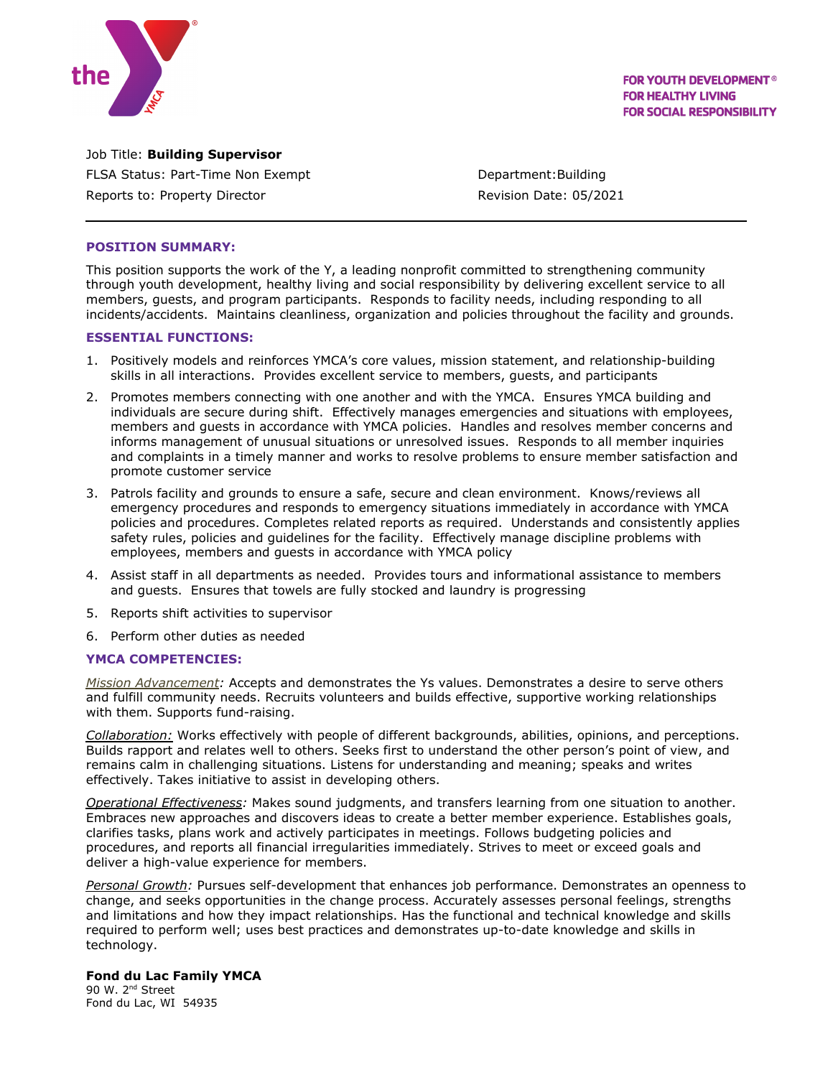

**FOR YOUTH DEVELOPMENT<sup>®</sup> FOR HEALTHY LIVING FOR SOCIAL RESPONSIBILITY** 

Job Title: **Building Supervisor** FLSA Status: Part-Time Non Exempt Contract Contract: Department: Building Reports to: Property Director **Reports** Revision Date: 05/2021

## **POSITION SUMMARY:**

This position supports the work of the Y, a leading nonprofit committed to strengthening community through youth development, healthy living and social responsibility by delivering excellent service to all members, guests, and program participants. Responds to facility needs, including responding to all incidents/accidents. Maintains cleanliness, organization and policies throughout the facility and grounds.

# **ESSENTIAL FUNCTIONS:**

- 1. Positively models and reinforces YMCA's core values, mission statement, and relationship-building skills in all interactions. Provides excellent service to members, guests, and participants
- 2. Promotes members connecting with one another and with the YMCA. Ensures YMCA building and individuals are secure during shift. Effectively manages emergencies and situations with employees, members and guests in accordance with YMCA policies. Handles and resolves member concerns and informs management of unusual situations or unresolved issues. Responds to all member inquiries and complaints in a timely manner and works to resolve problems to ensure member satisfaction and promote customer service
- 3. Patrols facility and grounds to ensure a safe, secure and clean environment. Knows/reviews all emergency procedures and responds to emergency situations immediately in accordance with YMCA policies and procedures. Completes related reports as required. Understands and consistently applies safety rules, policies and guidelines for the facility. Effectively manage discipline problems with employees, members and guests in accordance with YMCA policy
- 4. Assist staff in all departments as needed. Provides tours and informational assistance to members and guests. Ensures that towels are fully stocked and laundry is progressing
- 5. Reports shift activities to supervisor
- 6. Perform other duties as needed

## **YMCA COMPETENCIES:**

*Mission Advancement:* Accepts and demonstrates the Ys values. Demonstrates a desire to serve others and fulfill community needs. Recruits volunteers and builds effective, supportive working relationships with them. Supports fund-raising.

*Collaboration:* Works effectively with people of different backgrounds, abilities, opinions, and perceptions. Builds rapport and relates well to others. Seeks first to understand the other person's point of view, and remains calm in challenging situations. Listens for understanding and meaning; speaks and writes effectively. Takes initiative to assist in developing others.

*Operational Effectiveness:* Makes sound judgments, and transfers learning from one situation to another. Embraces new approaches and discovers ideas to create a better member experience. Establishes goals, clarifies tasks, plans work and actively participates in meetings. Follows budgeting policies and procedures, and reports all financial irregularities immediately. Strives to meet or exceed goals and deliver a high-value experience for members.

*Personal Growth:* Pursues self-development that enhances job performance. Demonstrates an openness to change, and seeks opportunities in the change process. Accurately assesses personal feelings, strengths and limitations and how they impact relationships. Has the functional and technical knowledge and skills required to perform well; uses best practices and demonstrates up-to-date knowledge and skills in technology.

## **Fond du Lac Family YMCA**

90 W. 2<sup>nd</sup> Street Fond du Lac, WI 54935